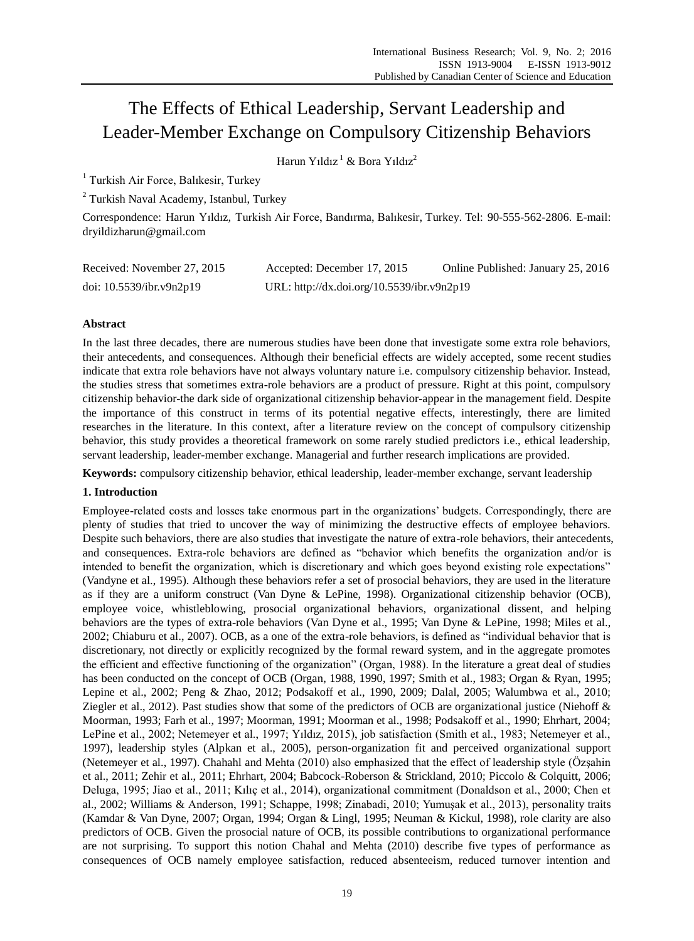# The Effects of Ethical Leadership, Servant Leadership and Leader-Member Exchange on Compulsory Citizenship Behaviors

Harun Yıldız<sup>1</sup> & Bora Yıldız<sup>2</sup>

<sup>1</sup> Turkish Air Force, Balıkesir, Turkey

<sup>2</sup> Turkish Naval Academy, Istanbul, Turkey

Correspondence: Harun Yıldız, Turkish Air Force, Bandırma, Balıkesir, Turkey. Tel: 90-555-562-2806. E-mail: dryildizharun@gmail.com

| Received: November 27, 2015 | Accepted: December 17, 2015                | Online Published: January 25, 2016 |
|-----------------------------|--------------------------------------------|------------------------------------|
| doi: $10.5539$ /ibr.v9n2p19 | URL: http://dx.doi.org/10.5539/ibr.v9n2p19 |                                    |

# **Abstract**

In the last three decades, there are numerous studies have been done that investigate some extra role behaviors, their antecedents, and consequences. Although their beneficial effects are widely accepted, some recent studies indicate that extra role behaviors have not always voluntary nature i.e. compulsory citizenship behavior. Instead, the studies stress that sometimes extra-role behaviors are a product of pressure. Right at this point, compulsory citizenship behavior-the dark side of organizational citizenship behavior-appear in the management field. Despite the importance of this construct in terms of its potential negative effects, interestingly, there are limited researches in the literature. In this context, after a literature review on the concept of compulsory citizenship behavior, this study provides a theoretical framework on some rarely studied predictors i.e., ethical leadership, servant leadership, leader-member exchange. Managerial and further research implications are provided.

**Keywords:** compulsory citizenship behavior, ethical leadership, leader-member exchange, servant leadership

# **1. Introduction**

Employee-related costs and losses take enormous part in the organizations' budgets. Correspondingly, there are plenty of studies that tried to uncover the way of minimizing the destructive effects of employee behaviors. Despite such behaviors, there are also studies that investigate the nature of extra-role behaviors, their antecedents, and consequences. Extra-role behaviors are defined as "behavior which benefits the organization and/or is intended to benefit the organization, which is discretionary and which goes beyond existing role expectations" (Vandyne et al., 1995). Although these behaviors refer a set of prosocial behaviors, they are used in the literature as if they are a uniform construct (Van Dyne & LePine, 1998). Organizational citizenship behavior (OCB), employee voice, whistleblowing, prosocial organizational behaviors, organizational dissent, and helping behaviors are the types of extra-role behaviors (Van Dyne et al., 1995; Van Dyne & LePine, 1998; Miles et al., 2002; Chiaburu et al., 2007). OCB, as a one of the extra-role behaviors, is defined as "individual behavior that is discretionary, not directly or explicitly recognized by the formal reward system, and in the aggregate promotes the efficient and effective functioning of the organization" (Organ, 1988). In the literature a great deal of studies has been conducted on the concept of OCB (Organ, 1988, 1990, 1997; Smith et al., 1983; Organ & Ryan, 1995; Lepine et al., 2002; Peng & Zhao, 2012; Podsakoff et al., 1990, 2009; Dalal, 2005; Walumbwa et al., 2010; Ziegler et al., 2012). Past studies show that some of the predictors of OCB are organizational justice (Niehoff & Moorman, 1993; Farh et al., 1997; Moorman, 1991; Moorman et al., 1998; Podsakoff et al., 1990; Ehrhart, 2004; LePine et al., 2002; Netemeyer et al., 1997; Yıldız, 2015), job satisfaction (Smith et al., 1983; Netemeyer et al., 1997), leadership styles (Alpkan et al., 2005), person-organization fit and perceived organizational support (Netemeyer et al., 1997). Chahahl and Mehta (2010) also emphasized that the effect of leadership style (Özşahin et al., 2011; Zehir et al., 2011; Ehrhart, 2004; Babcock-Roberson & Strickland, 2010; Piccolo & Colquitt, 2006; Deluga, 1995; Jiao et al., 2011; Kılıç et al., 2014), organizational commitment (Donaldson et al., 2000; Chen et al., 2002; Williams & Anderson, 1991; Schappe, 1998; Zinabadi, 2010; Yumuşak et al., 2013), personality traits (Kamdar & Van Dyne, 2007; Organ, 1994; Organ & Lingl, 1995; Neuman & Kickul, 1998), role clarity are also predictors of OCB. Given the prosocial nature of OCB, its possible contributions to organizational performance are not surprising. To support this notion Chahal and Mehta (2010) describe five types of performance as consequences of OCB namely employee satisfaction, reduced absenteeism, reduced turnover intention and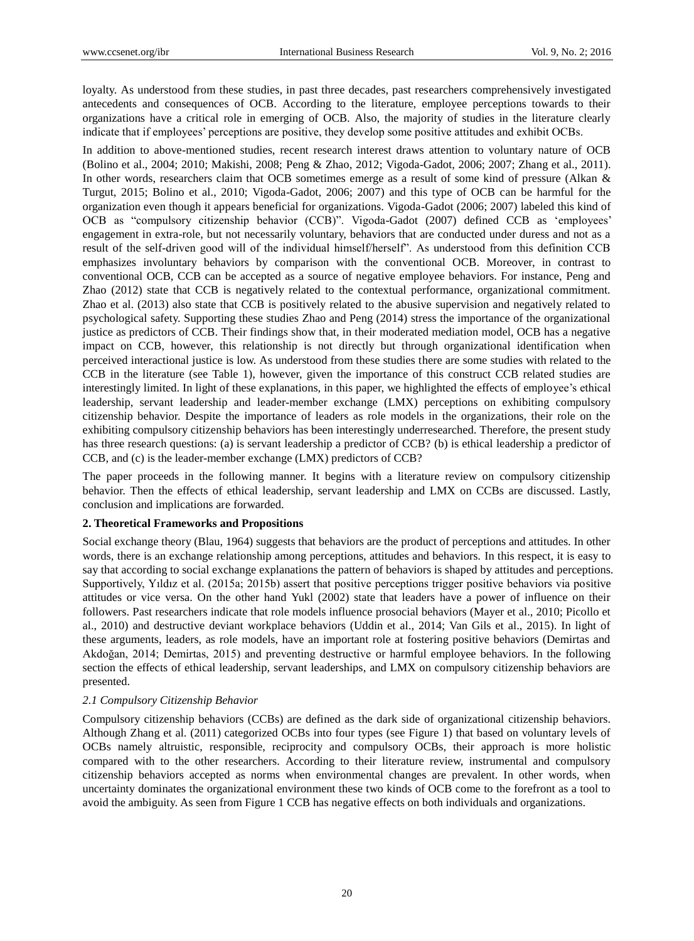loyalty. As understood from these studies, in past three decades, past researchers comprehensively investigated antecedents and consequences of OCB. According to the literature, employee perceptions towards to their organizations have a critical role in emerging of OCB. Also, the majority of studies in the literature clearly indicate that if employees' perceptions are positive, they develop some positive attitudes and exhibit OCBs.

In addition to above-mentioned studies, recent research interest draws attention to voluntary nature of OCB (Bolino et al., 2004; 2010; Makishi, 2008; Peng & Zhao, 2012; Vigoda-Gadot, 2006; 2007; Zhang et al., 2011). In other words, researchers claim that OCB sometimes emerge as a result of some kind of pressure (Alkan & Turgut, 2015; Bolino et al., 2010; Vigoda-Gadot, 2006; 2007) and this type of OCB can be harmful for the organization even though it appears beneficial for organizations. Vigoda-Gadot (2006; 2007) labeled this kind of OCB as "compulsory citizenship behavior (CCB)". Vigoda-Gadot (2007) defined CCB as 'employees' engagement in extra-role, but not necessarily voluntary, behaviors that are conducted under duress and not as a result of the self-driven good will of the individual himself/herself". As understood from this definition CCB emphasizes involuntary behaviors by comparison with the conventional OCB. Moreover, in contrast to conventional OCB, CCB can be accepted as a source of negative employee behaviors. For instance, Peng and Zhao (2012) state that CCB is negatively related to the contextual performance, organizational commitment. Zhao et al. (2013) also state that CCB is positively related to the abusive supervision and negatively related to psychological safety. Supporting these studies Zhao and Peng (2014) stress the importance of the organizational justice as predictors of CCB. Their findings show that, in their moderated mediation model, OCB has a negative impact on CCB, however, this relationship is not directly but through organizational identification when perceived interactional justice is low. As understood from these studies there are some studies with related to the CCB in the literature (see Table 1), however, given the importance of this construct CCB related studies are interestingly limited. In light of these explanations, in this paper, we highlighted the effects of employee's ethical leadership, servant leadership and leader-member exchange (LMX) perceptions on exhibiting compulsory citizenship behavior. Despite the importance of leaders as role models in the organizations, their role on the exhibiting compulsory citizenship behaviors has been interestingly underresearched. Therefore, the present study has three research questions: (a) is servant leadership a predictor of CCB? (b) is ethical leadership a predictor of CCB, and (c) is the leader-member exchange (LMX) predictors of CCB?

The paper proceeds in the following manner. It begins with a literature review on compulsory citizenship behavior. Then the effects of ethical leadership, servant leadership and LMX on CCBs are discussed. Lastly, conclusion and implications are forwarded.

### **2. Theoretical Frameworks and Propositions**

Social exchange theory (Blau, 1964) suggests that behaviors are the product of perceptions and attitudes. In other words, there is an exchange relationship among perceptions, attitudes and behaviors. In this respect, it is easy to say that according to social exchange explanations the pattern of behaviors is shaped by attitudes and perceptions. Supportively, Yıldız et al. (2015a; 2015b) assert that positive perceptions trigger positive behaviors via positive attitudes or vice versa. On the other hand Yukl (2002) state that leaders have a power of influence on their followers. Past researchers indicate that role models influence prosocial behaviors (Mayer et al., 2010; Picollo et al., 2010) and destructive deviant workplace behaviors (Uddin et al., 2014; Van Gils et al., 2015). In light of these arguments, leaders, as role models, have an important role at fostering positive behaviors (Demirtas and Akdoğan, 2014; Demirtas, 2015) and preventing destructive or harmful employee behaviors. In the following section the effects of ethical leadership, servant leaderships, and LMX on compulsory citizenship behaviors are presented.

### *2.1 Compulsory Citizenship Behavior*

Compulsory citizenship behaviors (CCBs) are defined as the dark side of organizational citizenship behaviors. Although Zhang et al. (2011) categorized OCBs into four types (see Figure 1) that based on voluntary levels of OCBs namely altruistic, responsible, reciprocity and compulsory OCBs, their approach is more holistic compared with to the other researchers. According to their literature review, instrumental and compulsory citizenship behaviors accepted as norms when environmental changes are prevalent. In other words, when uncertainty dominates the organizational environment these two kinds of OCB come to the forefront as a tool to avoid the ambiguity. As seen from Figure 1 CCB has negative effects on both individuals and organizations.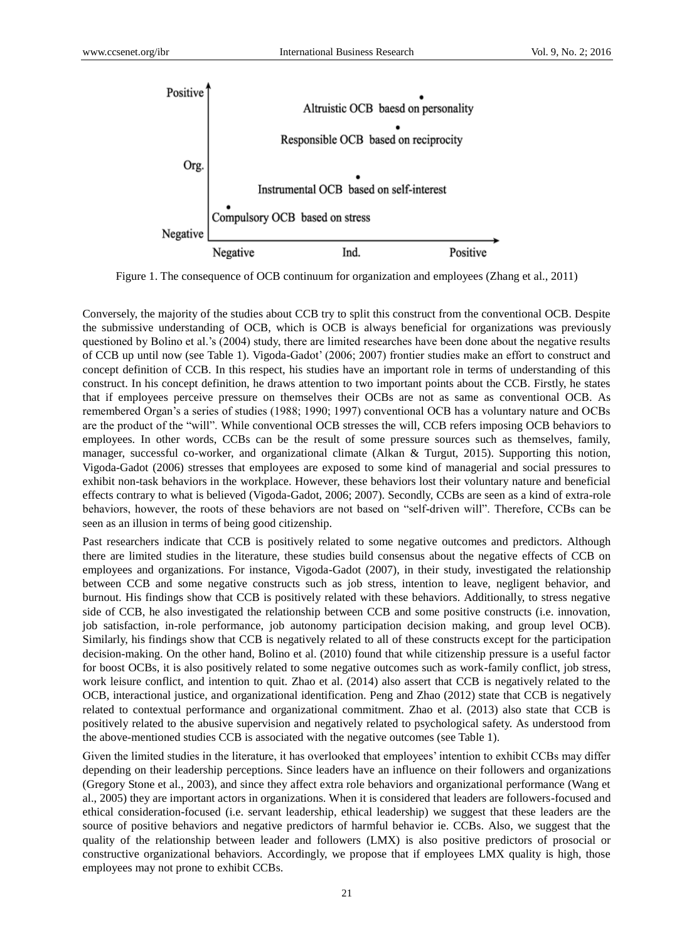

Figure 1. The consequence of OCB continuum for organization and employees (Zhang et al., 2011)

Conversely, the majority of the studies about CCB try to split this construct from the conventional OCB. Despite the submissive understanding of OCB, which is OCB is always beneficial for organizations was previously questioned by Bolino et al.'s (2004) study, there are limited researches have been done about the negative results of CCB up until now (see Table 1). Vigoda-Gadot' (2006; 2007) frontier studies make an effort to construct and concept definition of CCB. In this respect, his studies have an important role in terms of understanding of this construct. In his concept definition, he draws attention to two important points about the CCB. Firstly, he states that if employees perceive pressure on themselves their OCBs are not as same as conventional OCB. As remembered Organ's a series of studies (1988; 1990; 1997) conventional OCB has a voluntary nature and OCBs are the product of the "will". While conventional OCB stresses the will, CCB refers imposing OCB behaviors to employees. In other words, CCBs can be the result of some pressure sources such as themselves, family, manager, successful co-worker, and organizational climate (Alkan & Turgut, 2015). Supporting this notion, Vigoda-Gadot (2006) stresses that employees are exposed to some kind of managerial and social pressures to exhibit non-task behaviors in the workplace. However, these behaviors lost their voluntary nature and beneficial effects contrary to what is believed (Vigoda-Gadot, 2006; 2007). Secondly, CCBs are seen as a kind of extra-role behaviors, however, the roots of these behaviors are not based on "self-driven will". Therefore, CCBs can be seen as an illusion in terms of being good citizenship.

Past researchers indicate that CCB is positively related to some negative outcomes and predictors. Although there are limited studies in the literature, these studies build consensus about the negative effects of CCB on employees and organizations. For instance, Vigoda-Gadot (2007), in their study, investigated the relationship between CCB and some negative constructs such as job stress, intention to leave, negligent behavior, and burnout. His findings show that CCB is positively related with these behaviors. Additionally, to stress negative side of CCB, he also investigated the relationship between CCB and some positive constructs (i.e. innovation, job satisfaction, in-role performance, job autonomy participation decision making, and group level OCB). Similarly, his findings show that CCB is negatively related to all of these constructs except for the participation decision-making. On the other hand, Bolino et al. (2010) found that while citizenship pressure is a useful factor for boost OCBs, it is also positively related to some negative outcomes such as work-family conflict, job stress, work leisure conflict, and intention to quit. Zhao et al. (2014) also assert that CCB is negatively related to the OCB, interactional justice, and organizational identification. Peng and Zhao (2012) state that CCB is negatively related to contextual performance and organizational commitment. Zhao et al. (2013) also state that CCB is positively related to the abusive supervision and negatively related to psychological safety. As understood from the above-mentioned studies CCB is associated with the negative outcomes (see Table 1).

Given the limited studies in the literature, it has overlooked that employees' intention to exhibit CCBs may differ depending on their leadership perceptions. Since leaders have an influence on their followers and organizations (Gregory Stone et al., 2003), and since they affect extra role behaviors and organizational performance (Wang et al., 2005) they are important actors in organizations. When it is considered that leaders are followers-focused and ethical consideration-focused (i.e. servant leadership, ethical leadership) we suggest that these leaders are the source of positive behaviors and negative predictors of harmful behavior ie. CCBs. Also, we suggest that the quality of the relationship between leader and followers (LMX) is also positive predictors of prosocial or constructive organizational behaviors. Accordingly, we propose that if employees LMX quality is high, those employees may not prone to exhibit CCBs.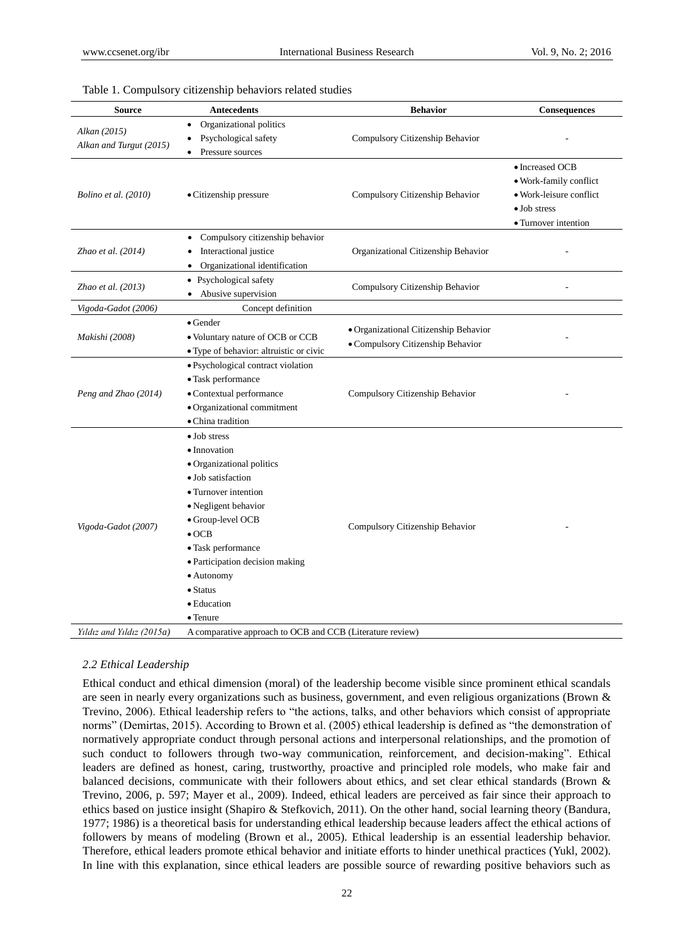| <b>Source</b>                           | <b>Antecedents</b>                                                                                                                                      | <b>Behavior</b>                                                            | Consequences            |
|-----------------------------------------|---------------------------------------------------------------------------------------------------------------------------------------------------------|----------------------------------------------------------------------------|-------------------------|
|                                         | Organizational politics<br>$\bullet$                                                                                                                    |                                                                            |                         |
| Alkan (2015)<br>Alkan and Turgut (2015) | Psychological safety<br>$\bullet$                                                                                                                       | Compulsory Citizenship Behavior                                            |                         |
|                                         | Pressure sources<br>$\bullet$                                                                                                                           |                                                                            |                         |
|                                         |                                                                                                                                                         |                                                                            | • Increased OCB         |
| Bolino et al. (2010)                    |                                                                                                                                                         |                                                                            | · Work-family conflict  |
|                                         | • Citizenship pressure                                                                                                                                  | Compulsory Citizenship Behavior                                            | • Work-leisure conflict |
|                                         |                                                                                                                                                         |                                                                            | $\bullet$ Job stress    |
|                                         |                                                                                                                                                         |                                                                            | • Turnover intention    |
| Zhao et al. (2014)                      | Compulsory citizenship behavior<br>٠                                                                                                                    |                                                                            |                         |
|                                         | Interactional justice<br>٠                                                                                                                              | Organizational Citizenship Behavior                                        |                         |
|                                         | Organizational identification<br>$\bullet$                                                                                                              |                                                                            |                         |
| Zhao et al. (2013)                      | • Psychological safety                                                                                                                                  |                                                                            |                         |
|                                         | • Abusive supervision                                                                                                                                   | Compulsory Citizenship Behavior                                            |                         |
| Vigoda-Gadot (2006)                     | Concept definition                                                                                                                                      |                                                                            |                         |
| Makishi (2008)                          | $\bullet$ Gender                                                                                                                                        |                                                                            |                         |
|                                         | • Voluntary nature of OCB or CCB                                                                                                                        | · Organizational Citizenship Behavior<br>• Compulsory Citizenship Behavior |                         |
|                                         | · Type of behavior: altruistic or civic                                                                                                                 |                                                                            |                         |
| Peng and Zhao (2014)                    | • Psychological contract violation                                                                                                                      |                                                                            |                         |
|                                         | · Task performance                                                                                                                                      |                                                                            |                         |
|                                         | · Contextual performance                                                                                                                                | Compulsory Citizenship Behavior                                            |                         |
|                                         | · Organizational commitment                                                                                                                             |                                                                            |                         |
|                                         | · China tradition                                                                                                                                       |                                                                            |                         |
| Vigoda-Gadot (2007)                     | • Job stress                                                                                                                                            |                                                                            |                         |
|                                         | • Innovation                                                                                                                                            |                                                                            |                         |
|                                         | • Organizational politics<br>• Job satisfaction<br>• Turnover intention<br>· Negligent behavior<br>• Group-level OCB<br>Compulsory Citizenship Behavior |                                                                            |                         |
|                                         |                                                                                                                                                         |                                                                            |                         |
|                                         |                                                                                                                                                         |                                                                            |                         |
|                                         |                                                                                                                                                         |                                                                            |                         |
|                                         |                                                                                                                                                         |                                                                            |                         |
|                                         | $\bullet$ OCB                                                                                                                                           |                                                                            |                         |
|                                         | • Task performance                                                                                                                                      |                                                                            |                         |
|                                         | · Participation decision making                                                                                                                         |                                                                            |                         |
|                                         | • Autonomy                                                                                                                                              |                                                                            |                         |
|                                         | • Status                                                                                                                                                |                                                                            |                         |
|                                         | • Education                                                                                                                                             |                                                                            |                         |
| • Tenure                                |                                                                                                                                                         |                                                                            |                         |
| Yıldız and Yıldız (2015a)               | A comparative approach to OCB and CCB (Literature review)                                                                                               |                                                                            |                         |

#### Table 1. Compulsory citizenship behaviors related studies

## *2.2 Ethical Leadership*

Ethical conduct and ethical dimension (moral) of the leadership become visible since prominent ethical scandals are seen in nearly every organizations such as business, government, and even religious organizations (Brown & Trevino, 2006). Ethical leadership refers to "the actions, talks, and other behaviors which consist of appropriate norms" (Demirtas, 2015). According to Brown et al. (2005) ethical leadership is defined as "the demonstration of normatively appropriate conduct through personal actions and interpersonal relationships, and the promotion of such conduct to followers through two-way communication, reinforcement, and decision-making". Ethical leaders are defined as honest, caring, trustworthy, proactive and principled role models, who make fair and balanced decisions, communicate with their followers about ethics, and set clear ethical standards (Brown & Trevino, 2006, p. 597; Mayer et al., 2009). Indeed, ethical leaders are perceived as fair since their approach to ethics based on justice insight (Shapiro & Stefkovich, 2011). On the other hand, social learning theory (Bandura, 1977; 1986) is a theoretical basis for understanding ethical leadership because leaders affect the ethical actions of followers by means of modeling (Brown et al., 2005). Ethical leadership is an essential leadership behavior. Therefore, ethical leaders promote ethical behavior and initiate efforts to hinder unethical practices (Yukl, 2002). In line with this explanation, since ethical leaders are possible source of rewarding positive behaviors such as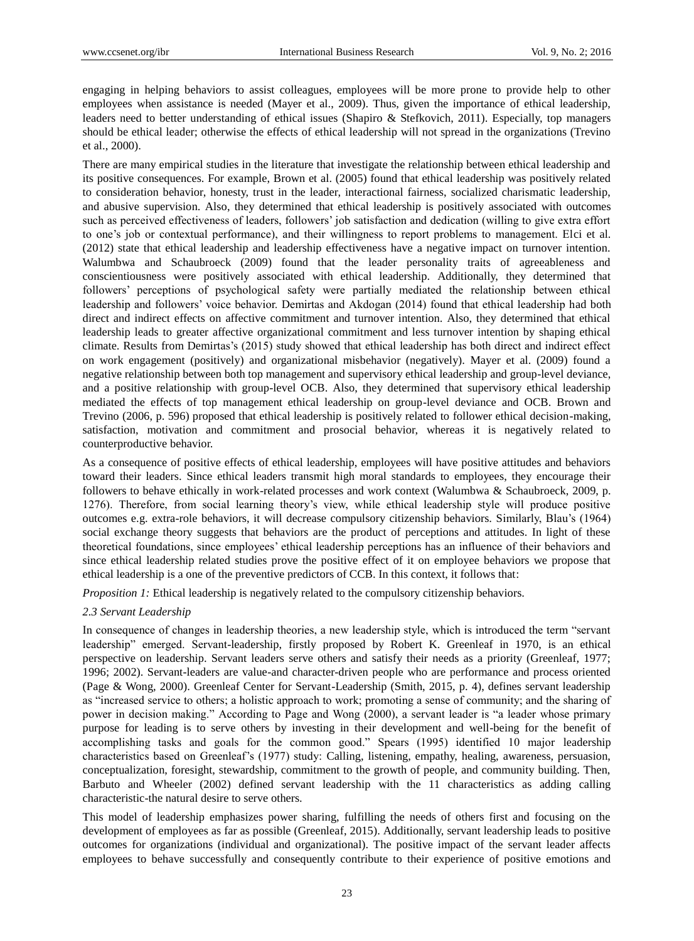engaging in helping behaviors to assist colleagues, employees will be more prone to provide help to other employees when assistance is needed (Mayer et al., 2009). Thus, given the importance of ethical leadership, leaders need to better understanding of ethical issues (Shapiro & Stefkovich, 2011). Especially, top managers should be ethical leader; otherwise the effects of ethical leadership will not spread in the organizations (Trevino et al., 2000).

There are many empirical studies in the literature that investigate the relationship between ethical leadership and its positive consequences. For example, Brown et al. (2005) found that ethical leadership was positively related to consideration behavior, honesty, trust in the leader, interactional fairness, socialized charismatic leadership, and abusive supervision. Also, they determined that ethical leadership is positively associated with outcomes such as perceived effectiveness of leaders, followers' job satisfaction and dedication (willing to give extra effort to one's job or contextual performance), and their willingness to report problems to management. Elci et al. (2012) state that ethical leadership and leadership effectiveness have a negative impact on turnover intention. Walumbwa and Schaubroeck (2009) found that the leader personality traits of agreeableness and conscientiousness were positively associated with ethical leadership. Additionally, they determined that followers' perceptions of psychological safety were partially mediated the relationship between ethical leadership and followers' voice behavior. Demirtas and Akdogan (2014) found that ethical leadership had both direct and indirect effects on affective commitment and turnover intention. Also, they determined that ethical leadership leads to greater affective organizational commitment and less turnover intention by shaping ethical climate. Results from Demirtas's (2015) study showed that ethical leadership has both direct and indirect effect on work engagement (positively) and organizational misbehavior (negatively). Mayer et al. (2009) found a negative relationship between both top management and supervisory ethical leadership and group-level deviance, and a positive relationship with group-level OCB. Also, they determined that supervisory ethical leadership mediated the effects of top management ethical leadership on group-level deviance and OCB. Brown and Trevino (2006, p. 596) proposed that ethical leadership is positively related to follower ethical decision-making, satisfaction, motivation and commitment and prosocial behavior, whereas it is negatively related to counterproductive behavior.

As a consequence of positive effects of ethical leadership, employees will have positive attitudes and behaviors toward their leaders. Since ethical leaders transmit high moral standards to employees, they encourage their followers to behave ethically in work-related processes and work context (Walumbwa & Schaubroeck, 2009, p. 1276). Therefore, from social learning theory's view, while ethical leadership style will produce positive outcomes e.g. extra-role behaviors, it will decrease compulsory citizenship behaviors. Similarly, Blau's (1964) social exchange theory suggests that behaviors are the product of perceptions and attitudes. In light of these theoretical foundations, since employees' ethical leadership perceptions has an influence of their behaviors and since ethical leadership related studies prove the positive effect of it on employee behaviors we propose that ethical leadership is a one of the preventive predictors of CCB. In this context, it follows that:

*Proposition 1:* Ethical leadership is negatively related to the compulsory citizenship behaviors.

## *2.3 Servant Leadership*

In consequence of changes in leadership theories, a new leadership style, which is introduced the term "servant leadership" emerged. Servant-leadership, firstly proposed by Robert K. Greenleaf in 1970, is an ethical perspective on leadership. Servant leaders serve others and satisfy their needs as a priority (Greenleaf, 1977; 1996; 2002). Servant-leaders are value-and character-driven people who are performance and process oriented (Page & Wong, 2000). Greenleaf Center for Servant-Leadership (Smith, 2015, p. 4), defines servant leadership as "increased service to others; a holistic approach to work; promoting a sense of community; and the sharing of power in decision making." According to Page and Wong (2000), a servant leader is "a leader whose primary purpose for leading is to serve others by investing in their development and well-being for the benefit of accomplishing tasks and goals for the common good." Spears (1995) identified 10 major leadership characteristics based on Greenleaf's (1977) study: Calling, listening, empathy, healing, awareness, persuasion, conceptualization, foresight, stewardship, commitment to the growth of people, and community building. Then, Barbuto and Wheeler (2002) defined servant leadership with the 11 characteristics as adding calling characteristic-the natural desire to serve others.

This model of leadership emphasizes power sharing, fulfilling the needs of others first and focusing on the development of employees as far as possible (Greenleaf, 2015). Additionally, servant leadership leads to positive outcomes for organizations (individual and organizational). The positive impact of the servant leader affects employees to behave successfully and consequently contribute to their experience of positive emotions and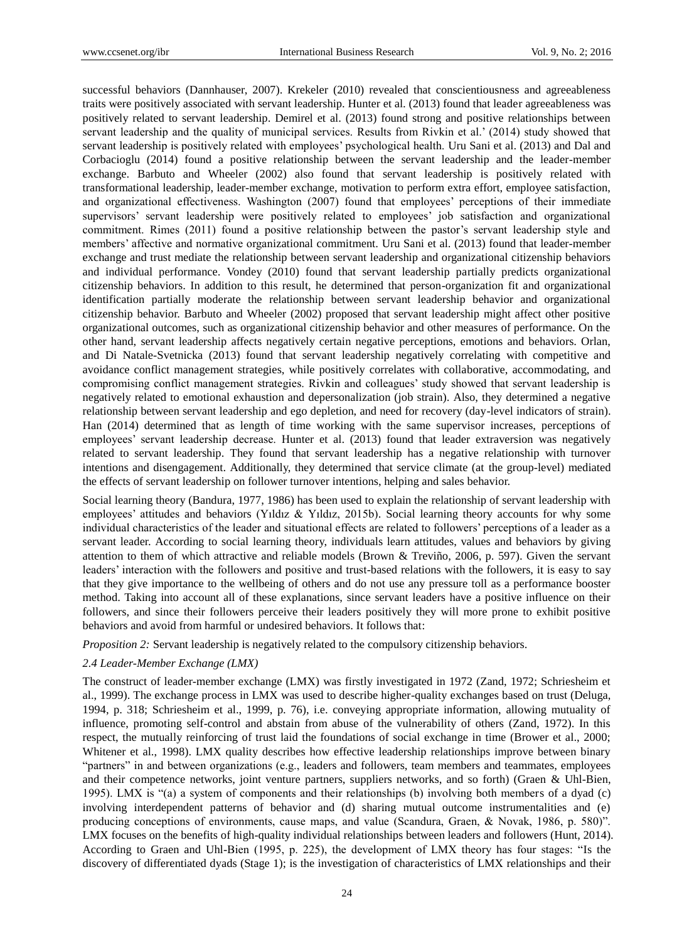successful behaviors (Dannhauser, 2007). Krekeler (2010) revealed that conscientiousness and agreeableness traits were positively associated with servant leadership. Hunter et al. (2013) found that leader agreeableness was positively related to servant leadership. Demirel et al. (2013) found strong and positive relationships between servant leadership and the quality of municipal services. Results from Rivkin et al.' (2014) study showed that servant leadership is positively related with employees' psychological health. Uru Sani et al. (2013) and Dal and Corbacioglu (2014) found a positive relationship between the servant leadership and the leader-member exchange. Barbuto and Wheeler (2002) also found that servant leadership is positively related with transformational leadership, leader-member exchange, motivation to perform extra effort, employee satisfaction, and organizational effectiveness. Washington (2007) found that employees' perceptions of their immediate supervisors' servant leadership were positively related to employees' job satisfaction and organizational commitment. Rimes (2011) found a positive relationship between the pastor's servant leadership style and members' affective and normative organizational commitment. Uru Sani et al. (2013) found that leader-member exchange and trust mediate the relationship between servant leadership and organizational citizenship behaviors and individual performance. Vondey (2010) found that servant leadership partially predicts organizational citizenship behaviors. In addition to this result, he determined that person-organization fit and organizational identification partially moderate the relationship between servant leadership behavior and organizational citizenship behavior. Barbuto and Wheeler (2002) proposed that servant leadership might affect other positive organizational outcomes, such as organizational citizenship behavior and other measures of performance. On the other hand, servant leadership affects negatively certain negative perceptions, emotions and behaviors. Orlan, and Di Natale-Svetnicka (2013) found that servant leadership negatively correlating with competitive and avoidance conflict management strategies, while positively correlates with collaborative, accommodating, and compromising conflict management strategies. Rivkin and colleagues' study showed that servant leadership is negatively related to emotional exhaustion and depersonalization (job strain). Also, they determined a negative relationship between servant leadership and ego depletion, and need for recovery (day-level indicators of strain). Han (2014) determined that as length of time working with the same supervisor increases, perceptions of employees' servant leadership decrease. Hunter et al. (2013) found that leader extraversion was negatively related to servant leadership. They found that servant leadership has a negative relationship with turnover intentions and disengagement. Additionally, they determined that service climate (at the group-level) mediated the effects of servant leadership on follower turnover intentions, helping and sales behavior.

Social learning theory (Bandura, 1977, 1986) has been used to explain the relationship of servant leadership with employees' attitudes and behaviors (Yıldız & Yıldız, 2015b). Social learning theory accounts for why some individual characteristics of the leader and situational effects are related to followers' perceptions of a leader as a servant leader. According to social learning theory, individuals learn attitudes, values and behaviors by giving attention to them of which attractive and reliable models (Brown & Treviño, 2006, p. 597). Given the servant leaders' interaction with the followers and positive and trust-based relations with the followers, it is easy to say that they give importance to the wellbeing of others and do not use any pressure toll as a performance booster method. Taking into account all of these explanations, since servant leaders have a positive influence on their followers, and since their followers perceive their leaders positively they will more prone to exhibit positive behaviors and avoid from harmful or undesired behaviors. It follows that:

*Proposition 2:* Servant leadership is negatively related to the compulsory citizenship behaviors.

### *2.4 Leader-Member Exchange (LMX)*

The construct of leader-member exchange (LMX) was firstly investigated in 1972 (Zand, 1972; Schriesheim et al., 1999). The exchange process in LMX was used to describe higher-quality exchanges based on trust (Deluga, 1994, p. 318; Schriesheim et al., 1999, p. 76), i.e. conveying appropriate information, allowing mutuality of influence, promoting self-control and abstain from abuse of the vulnerability of others (Zand, 1972). In this respect, the mutually reinforcing of trust laid the foundations of social exchange in time (Brower et al., 2000; Whitener et al., 1998). LMX quality describes how effective leadership relationships improve between binary "partners" in and between organizations (e.g., leaders and followers, team members and teammates, employees and their competence networks, joint venture partners, suppliers networks, and so forth) (Graen & Uhl-Bien, 1995). LMX is "(a) a system of components and their relationships (b) involving both members of a dyad (c) involving interdependent patterns of behavior and (d) sharing mutual outcome instrumentalities and (e) producing conceptions of environments, cause maps, and value (Scandura, Graen, & Novak, 1986, p. 580)". LMX focuses on the benefits of high-quality individual relationships between leaders and followers (Hunt, 2014). According to Graen and Uhl-Bien (1995, p. 225), the development of LMX theory has four stages: "Is the discovery of differentiated dyads (Stage 1); is the investigation of characteristics of LMX relationships and their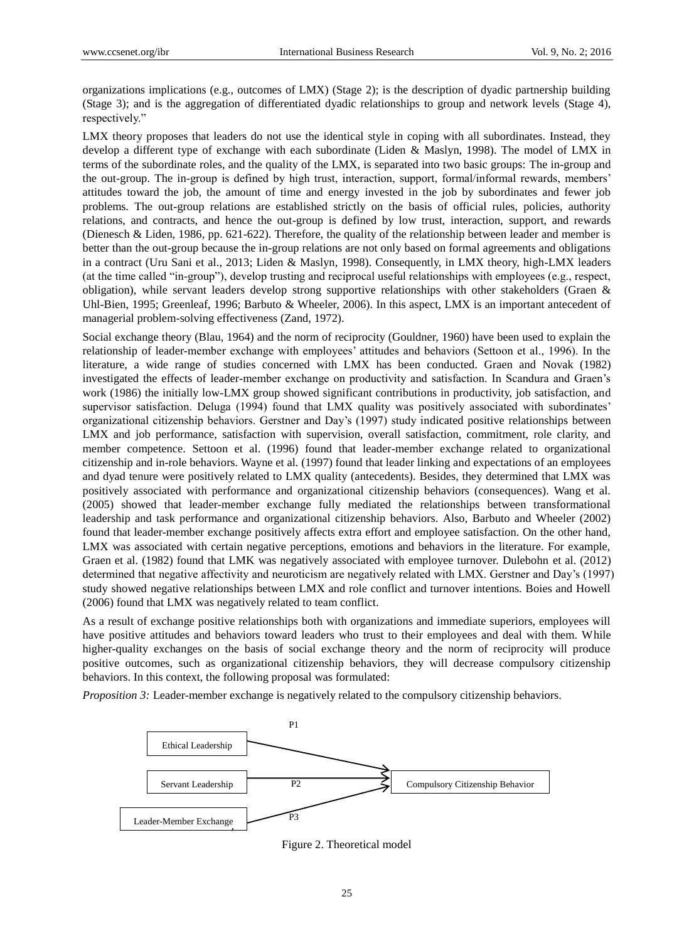organizations implications (e.g., outcomes of LMX) (Stage 2); is the description of dyadic partnership building (Stage 3); and is the aggregation of differentiated dyadic relationships to group and network levels (Stage 4), respectively."

LMX theory proposes that leaders do not use the identical style in coping with all subordinates. Instead, they develop a different type of exchange with each subordinate (Liden & Maslyn, 1998). The model of LMX in terms of the subordinate roles, and the quality of the LMX, is separated into two basic groups: The in-group and the out-group. The in-group is defined by high trust, interaction, support, formal/informal rewards, members' attitudes toward the job, the amount of time and energy invested in the job by subordinates and fewer job problems. The out-group relations are established strictly on the basis of official rules, policies, authority relations, and contracts, and hence the out-group is defined by low trust, interaction, support, and rewards (Dienesch & Liden, 1986, pp. 621-622). Therefore, the quality of the relationship between leader and member is better than the out-group because the in-group relations are not only based on formal agreements and obligations in a contract (Uru Sani et al., 2013; Liden & Maslyn, 1998). Consequently, in LMX theory, high-LMX leaders (at the time called "in-group"), develop trusting and reciprocal useful relationships with employees (e.g., respect, obligation), while servant leaders develop strong supportive relationships with other stakeholders (Graen & Uhl-Bien, 1995; Greenleaf, 1996; Barbuto & Wheeler, 2006). In this aspect, LMX is an important antecedent of managerial problem-solving effectiveness (Zand, 1972).

Social exchange theory (Blau, 1964) and the norm of reciprocity (Gouldner, 1960) have been used to explain the relationship of leader-member exchange with employees' attitudes and behaviors (Settoon et al., 1996). In the literature, a wide range of studies concerned with LMX has been conducted. Graen and Novak (1982) investigated the effects of leader-member exchange on productivity and satisfaction. In Scandura and Graen's work (1986) the initially low-LMX group showed significant contributions in productivity, job satisfaction, and supervisor satisfaction. Deluga (1994) found that LMX quality was positively associated with subordinates' organizational citizenship behaviors. Gerstner and Day's (1997) study indicated positive relationships between LMX and job performance, satisfaction with supervision, overall satisfaction, commitment, role clarity, and member competence. Settoon et al. (1996) found that leader-member exchange related to organizational citizenship and in-role behaviors. Wayne et al. (1997) found that leader linking and expectations of an employees and dyad tenure were positively related to LMX quality (antecedents). Besides, they determined that LMX was positively associated with performance and organizational citizenship behaviors (consequences). Wang et al. (2005) showed that leader-member exchange fully mediated the relationships between transformational leadership and task performance and organizational citizenship behaviors. Also, Barbuto and Wheeler (2002) found that leader-member exchange positively affects extra effort and employee satisfaction. On the other hand, LMX was associated with certain negative perceptions, emotions and behaviors in the literature. For example, Graen et al. (1982) found that LMK was negatively associated with employee turnover. Dulebohn et al. (2012) determined that negative affectivity and neuroticism are negatively related with LMX. Gerstner and Day's (1997) study showed negative relationships between LMX and role conflict and turnover intentions. Boies and Howell (2006) found that LMX was negatively related to team conflict.

As a result of exchange positive relationships both with organizations and immediate superiors, employees will have positive attitudes and behaviors toward leaders who trust to their employees and deal with them. While higher-quality exchanges on the basis of social exchange theory and the norm of reciprocity will produce positive outcomes, such as organizational citizenship behaviors, they will decrease compulsory citizenship behaviors. In this context, the following proposal was formulated:

*Proposition 3:* Leader-member exchange is negatively related to the compulsory citizenship behaviors.



Figure 2. Theoretical model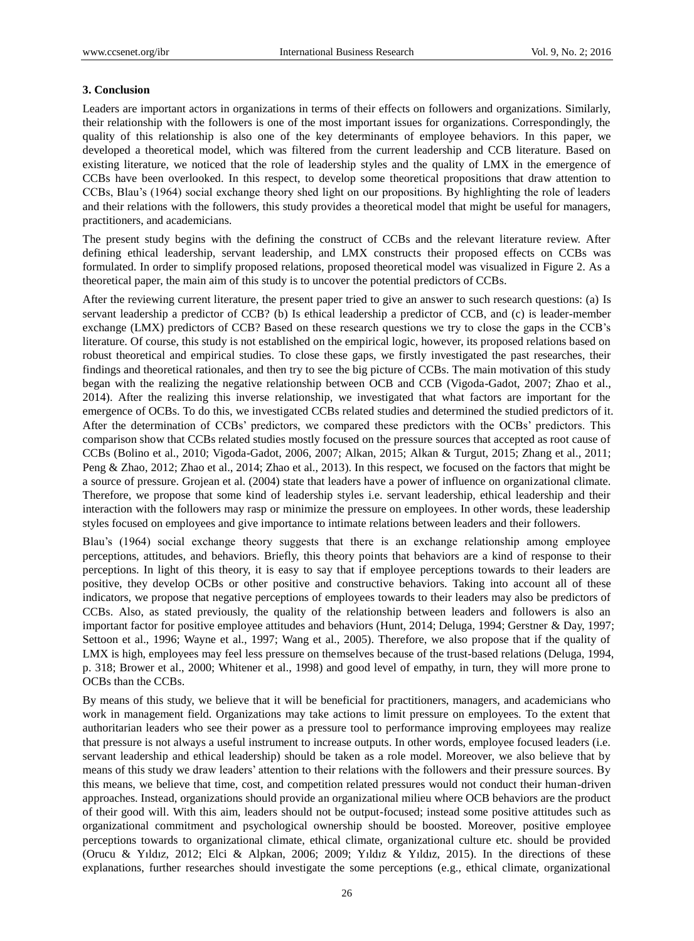## **3. Conclusion**

Leaders are important actors in organizations in terms of their effects on followers and organizations. Similarly, their relationship with the followers is one of the most important issues for organizations. Correspondingly, the quality of this relationship is also one of the key determinants of employee behaviors. In this paper, we developed a theoretical model, which was filtered from the current leadership and CCB literature. Based on existing literature, we noticed that the role of leadership styles and the quality of LMX in the emergence of CCBs have been overlooked. In this respect, to develop some theoretical propositions that draw attention to CCBs, Blau's (1964) social exchange theory shed light on our propositions. By highlighting the role of leaders and their relations with the followers, this study provides a theoretical model that might be useful for managers, practitioners, and academicians.

The present study begins with the defining the construct of CCBs and the relevant literature review. After defining ethical leadership, servant leadership, and LMX constructs their proposed effects on CCBs was formulated. In order to simplify proposed relations, proposed theoretical model was visualized in Figure 2. As a theoretical paper, the main aim of this study is to uncover the potential predictors of CCBs.

After the reviewing current literature, the present paper tried to give an answer to such research questions: (a) Is servant leadership a predictor of CCB? (b) Is ethical leadership a predictor of CCB, and (c) is leader-member exchange (LMX) predictors of CCB? Based on these research questions we try to close the gaps in the CCB's literature. Of course, this study is not established on the empirical logic, however, its proposed relations based on robust theoretical and empirical studies. To close these gaps, we firstly investigated the past researches, their findings and theoretical rationales, and then try to see the big picture of CCBs. The main motivation of this study began with the realizing the negative relationship between OCB and CCB (Vigoda-Gadot, 2007; Zhao et al., 2014). After the realizing this inverse relationship, we investigated that what factors are important for the emergence of OCBs. To do this, we investigated CCBs related studies and determined the studied predictors of it. After the determination of CCBs' predictors, we compared these predictors with the OCBs' predictors. This comparison show that CCBs related studies mostly focused on the pressure sources that accepted as root cause of CCBs (Bolino et al., 2010; Vigoda-Gadot, 2006, 2007; Alkan, 2015; Alkan & Turgut, 2015; Zhang et al., 2011; Peng & Zhao, 2012; Zhao et al., 2014; Zhao et al., 2013). In this respect, we focused on the factors that might be a source of pressure. Grojean et al. (2004) state that leaders have a power of influence on organizational climate. Therefore, we propose that some kind of leadership styles i.e. servant leadership, ethical leadership and their interaction with the followers may rasp or minimize the pressure on employees. In other words, these leadership styles focused on employees and give importance to intimate relations between leaders and their followers.

Blau's (1964) social exchange theory suggests that there is an exchange relationship among employee perceptions, attitudes, and behaviors. Briefly, this theory points that behaviors are a kind of response to their perceptions. In light of this theory, it is easy to say that if employee perceptions towards to their leaders are positive, they develop OCBs or other positive and constructive behaviors. Taking into account all of these indicators, we propose that negative perceptions of employees towards to their leaders may also be predictors of CCBs. Also, as stated previously, the quality of the relationship between leaders and followers is also an important factor for positive employee attitudes and behaviors (Hunt, 2014; Deluga, 1994; Gerstner & Day, 1997; Settoon et al., 1996; Wayne et al., 1997; Wang et al., 2005). Therefore, we also propose that if the quality of LMX is high, employees may feel less pressure on themselves because of the trust-based relations (Deluga, 1994, p. 318; Brower et al., 2000; Whitener et al., 1998) and good level of empathy, in turn, they will more prone to OCBs than the CCBs.

By means of this study, we believe that it will be beneficial for practitioners, managers, and academicians who work in management field. Organizations may take actions to limit pressure on employees. To the extent that authoritarian leaders who see their power as a pressure tool to performance improving employees may realize that pressure is not always a useful instrument to increase outputs. In other words, employee focused leaders (i.e. servant leadership and ethical leadership) should be taken as a role model. Moreover, we also believe that by means of this study we draw leaders' attention to their relations with the followers and their pressure sources. By this means, we believe that time, cost, and competition related pressures would not conduct their human-driven approaches. Instead, organizations should provide an organizational milieu where OCB behaviors are the product of their good will. With this aim, leaders should not be output-focused; instead some positive attitudes such as organizational commitment and psychological ownership should be boosted. Moreover, positive employee perceptions towards to organizational climate, ethical climate, organizational culture etc. should be provided (Orucu & Yıldız, 2012; Elci & Alpkan, 2006; 2009; Yıldız & Yıldız, 2015). In the directions of these explanations, further researches should investigate the some perceptions (e.g., ethical climate, organizational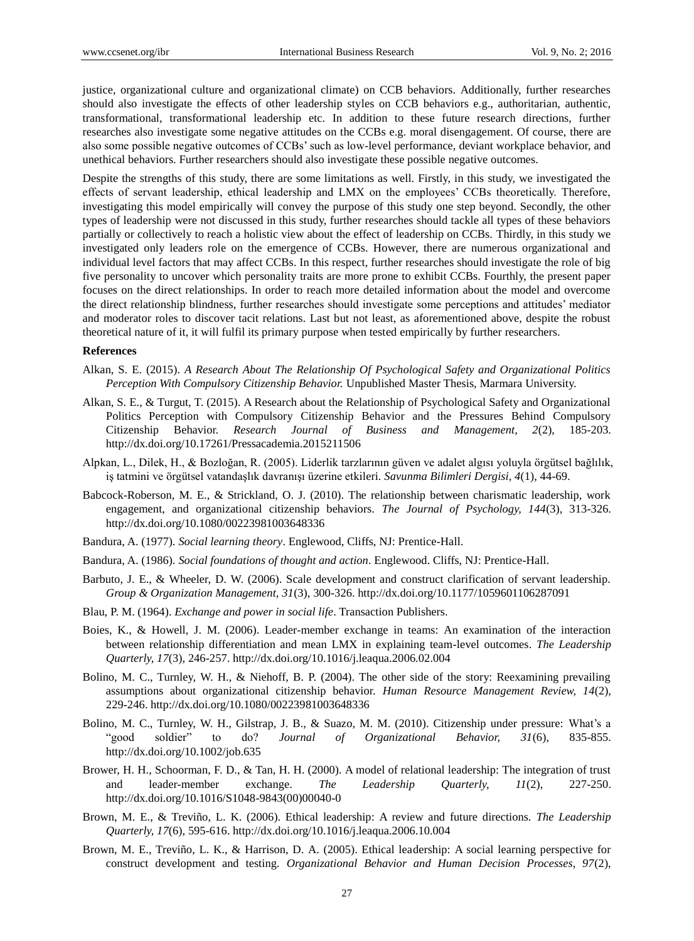justice, organizational culture and organizational climate) on CCB behaviors. Additionally, further researches should also investigate the effects of other leadership styles on CCB behaviors e.g., authoritarian, authentic, transformational, transformational leadership etc. In addition to these future research directions, further researches also investigate some negative attitudes on the CCBs e.g. moral disengagement. Of course, there are also some possible negative outcomes of CCBs' such as low-level performance, deviant workplace behavior, and unethical behaviors. Further researchers should also investigate these possible negative outcomes.

Despite the strengths of this study, there are some limitations as well. Firstly, in this study, we investigated the effects of servant leadership, ethical leadership and LMX on the employees' CCBs theoretically. Therefore, investigating this model empirically will convey the purpose of this study one step beyond. Secondly, the other types of leadership were not discussed in this study, further researches should tackle all types of these behaviors partially or collectively to reach a holistic view about the effect of leadership on CCBs. Thirdly, in this study we investigated only leaders role on the emergence of CCBs. However, there are numerous organizational and individual level factors that may affect CCBs. In this respect, further researches should investigate the role of big five personality to uncover which personality traits are more prone to exhibit CCBs. Fourthly, the present paper focuses on the direct relationships. In order to reach more detailed information about the model and overcome the direct relationship blindness, further researches should investigate some perceptions and attitudes' mediator and moderator roles to discover tacit relations. Last but not least, as aforementioned above, despite the robust theoretical nature of it, it will fulfil its primary purpose when tested empirically by further researchers.

#### **References**

- Alkan, S. E. (2015). *A Research About The Relationship Of Psychological Safety and Organizational Politics Perception With Compulsory Citizenship Behavior.* Unpublished Master Thesis, Marmara University.
- Alkan, S. E., & Turgut, T. (2015). A Research about the Relationship of Psychological Safety and Organizational Politics Perception with Compulsory Citizenship Behavior and the Pressures Behind Compulsory Citizenship Behavior. *Research Journal of Business and Management, 2*(2), 185-203. http://dx.doi.org/10.17261/Pressacademia.2015211506
- Alpkan, L., Dilek, H., & Bozloğan, R. (2005). Liderlik tarzlarının güven ve adalet algısı yoluyla örgütsel bağlılık, iş tatmini ve örgütsel vatandaşlık davranışı üzerine etkileri. *Savunma Bilimleri Dergisi, 4*(1), 44-69.
- Babcock-Roberson, M. E., & Strickland, O. J. (2010). The relationship between charismatic leadership, work engagement, and organizational citizenship behaviors. *The Journal of Psychology, 144*(3), 313-326. http://dx.doi.org/10.1080/00223981003648336
- Bandura, A. (1977). *Social learning theory*. Englewood, Cliffs, NJ: Prentice-Hall.
- Bandura, A. (1986). *Social foundations of thought and action*. Englewood. Cliffs, NJ: Prentice-Hall.
- Barbuto, J. E., & Wheeler, D. W. (2006). Scale development and construct clarification of servant leadership. *Group & Organization Management, 31*(3), 300-326. http://dx.doi.org/10.1177/1059601106287091
- Blau, P. M. (1964). *Exchange and power in social life*. Transaction Publishers.
- Boies, K., & Howell, J. M. (2006). Leader-member exchange in teams: An examination of the interaction between relationship differentiation and mean LMX in explaining team-level outcomes. *The Leadership Quarterly, 17*(3), 246-257. http://dx.doi.org/10.1016/j.leaqua.2006.02.004
- Bolino, M. C., Turnley, W. H., & Niehoff, B. P. (2004). The other side of the story: Reexamining prevailing assumptions about organizational citizenship behavior. *Human Resource Management Review, 14*(2), 229-246. http://dx.doi.org/10.1080/00223981003648336
- Bolino, M. C., Turnley, W. H., Gilstrap, J. B., & Suazo, M. M. (2010). Citizenship under pressure: What's a "good soldier" to do? *Journal of Organizational Behavior, 31*(6), 835-855. http://dx.doi.org/10.1002/job.635
- Brower, H. H., Schoorman, F. D., & Tan, H. H. (2000). A model of relational leadership: The integration of trust and leader-member exchange. *The Leadership Quarterly, 11*(2), 227-250. http://dx.doi.org/10.1016/S1048-9843(00)00040-0
- Brown, M. E., & Treviño, L. K. (2006). Ethical leadership: A review and future directions. *The Leadership Quarterly, 17*(6), 595-616. [http://dx.doi.org/10.1016/j.leaqua.2006.10.004](http://dx.doi:10.1016/j.leaqua.2006.10.004)
- Brown, M. E., Treviño, L. K., & Harrison, D. A. (2005). Ethical leadership: A social learning perspective for construct development and testing. *Organizational Behavior and Human Decision Processes, 97*(2),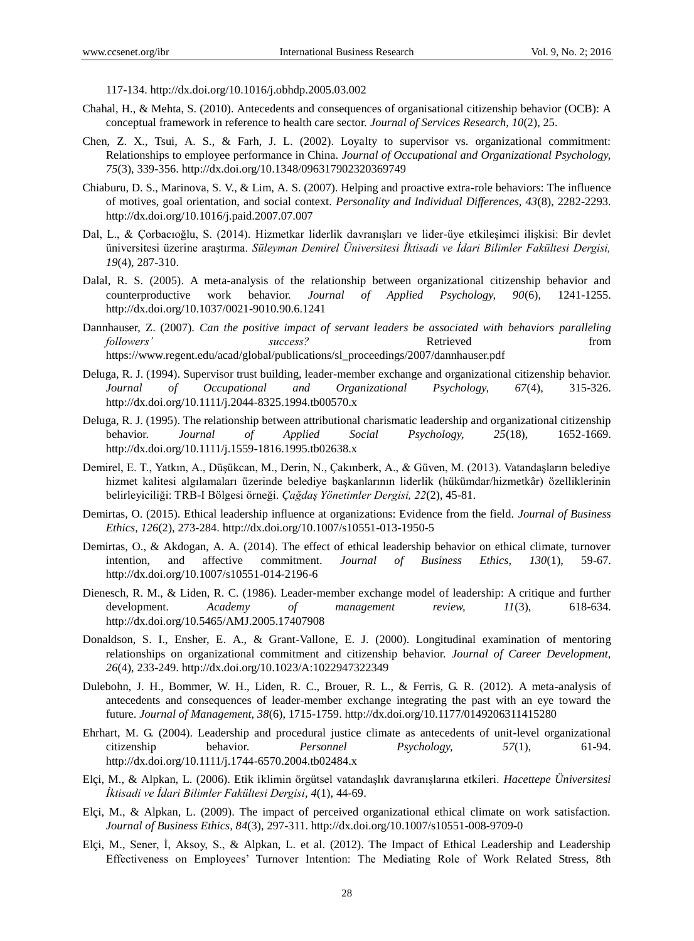117-134. [http://dx.doi.org/10.1016/j.obhdp.2005.03.002](http://dx.doi:10.1016/j.obhdp.2005.03.002)

- Chahal, H., & Mehta, S. (2010). Antecedents and consequences of organisational citizenship behavior (OCB): A conceptual framework in reference to health care sector. *Journal of Services Research, 10*(2), 25.
- Chen, Z. X., Tsui, A. S., & Farh, J. L. (2002). Loyalty to supervisor vs. organizational commitment: Relationships to employee performance in China. *Journal of Occupational and Organizational Psychology, 75*(3), 339-356. http://dx.doi.org/10.1348/096317902320369749
- Chiaburu, D. S., Marinova, S. V., & Lim, A. S. (2007). Helping and proactive extra-role behaviors: The influence of motives, goal orientation, and social context. *Personality and Individual Differences, 43*(8), 2282-2293. http://dx.doi.org/10.1016/j.paid.2007.07.007
- Dal, L., & Çorbacıoğlu, S. (2014). Hizmetkar liderlik davranışları ve lider-üye etkileşimci ilişkisi: Bir devlet üniversitesi üzerine araştırma. *Süleyman Demirel Üniversitesi İktisadi ve İdari Bilimler Fakültesi Dergisi, 19*(4), 287-310.
- Dalal, R. S. (2005). A meta-analysis of the relationship between organizational citizenship behavior and counterproductive work behavior. *Journal of Applied Psychology, 90*(6), 1241-1255. http://dx.doi.org/10.1037/0021-9010.90.6.1241
- Dannhauser, Z. (2007). *Can the positive impact of servant leaders be associated with behaviors paralleling followers' success?* Retrieved from https://www.regent.edu/acad/global/publications/sl\_proceedings/2007/dannhauser.pdf
- Deluga, R. J. (1994). Supervisor trust building, leader-member exchange and organizational citizenship behavior. *Journal of Occupational and Organizational Psychology, 67*(4), 315-326. http://dx.doi.org/10.1111/j.2044-8325.1994.tb00570.x
- Deluga, R. J. (1995). The relationship between attributional charismatic leadership and organizational citizenship behavior. *Journal of Applied Social Psychology, 25*(18), 1652-1669. http://dx.doi.org/10.1111/j.1559-1816.1995.tb02638.x
- Demirel, E. T., Yatkın, A., Düşükcan, M., Derin, N., Çakınberk, A., & Güven, M. (2013). Vatandaşların belediye hizmet kalitesi algılamaları üzerinde belediye başkanlarının liderlik (hükümdar/hizmetkâr) özelliklerinin belirleyiciliği: TRB-I Bölgesi örneği. *Çağdaş Yönetimler Dergisi, 22*(2), 45-81.
- Demirtas, O. (2015). Ethical leadership influence at organizations: Evidence from the field. *Journal of Business Ethics, 126*(2), 273-284. http://dx.doi.org/10.1007/s10551-013-1950-5
- Demirtas, O., & Akdogan, A. A. (2014). The effect of ethical leadership behavior on ethical climate, turnover intention, and affective commitment. *Journal of Business Ethics, 130*(1), 59-67. http://dx.doi.org/10.1007/s10551-014-2196-6
- Dienesch, R. M., & Liden, R. C. (1986). Leader-member exchange model of leadership: A critique and further development. *Academy of management review, 11*(3), 618-634. http://dx.doi.org/10.5465/AMJ.2005.17407908
- Donaldson, S. I., Ensher, E. A., & Grant-Vallone, E. J. (2000). Longitudinal examination of mentoring relationships on organizational commitment and citizenship behavior. *Journal of Career Development, 26*(4), 233-249. http://dx.doi.org/10.1023/A:1022947322349
- Dulebohn, J. H., Bommer, W. H., Liden, R. C., Brouer, R. L., & Ferris, G. R. (2012). A meta-analysis of antecedents and consequences of leader-member exchange integrating the past with an eye toward the future. *Journal of Management, 38*(6), 1715-1759. [http://dx.doi.org/10.1177/0149206311415280](http://dx.doi:10.1177/0149206311415280)
- Ehrhart, M. G. (2004). Leadership and procedural justice climate as antecedents of unit-level organizational citizenship behavior. *Personnel Psychology, 57*(1), 61-94. http://dx.doi.org/10.1111/j.1744-6570.2004.tb02484.x
- Elçi, M., & Alpkan, L. (2006). Etik iklimin örgütsel vatandaşlık davranışlarına etkileri. *Hacettepe Ü niversitesi İktisadi ve İdari Bilimler Fakültesi Dergisi, 4*(1), 44-69.
- Elçi, M., & Alpkan, L. (2009). The impact of perceived organizational ethical climate on work satisfaction. *Journal of Business Ethics, 84*(3), 297-311. http://dx.doi.org/10.1007/s10551-008-9709-0
- Elçi, M., Sener, İ, Aksoy, S., & Alpkan, L. et al. (2012). The Impact of Ethical Leadership and Leadership Effectiveness on Employees' Turnover Intention: The Mediating Role of Work Related Stress, 8th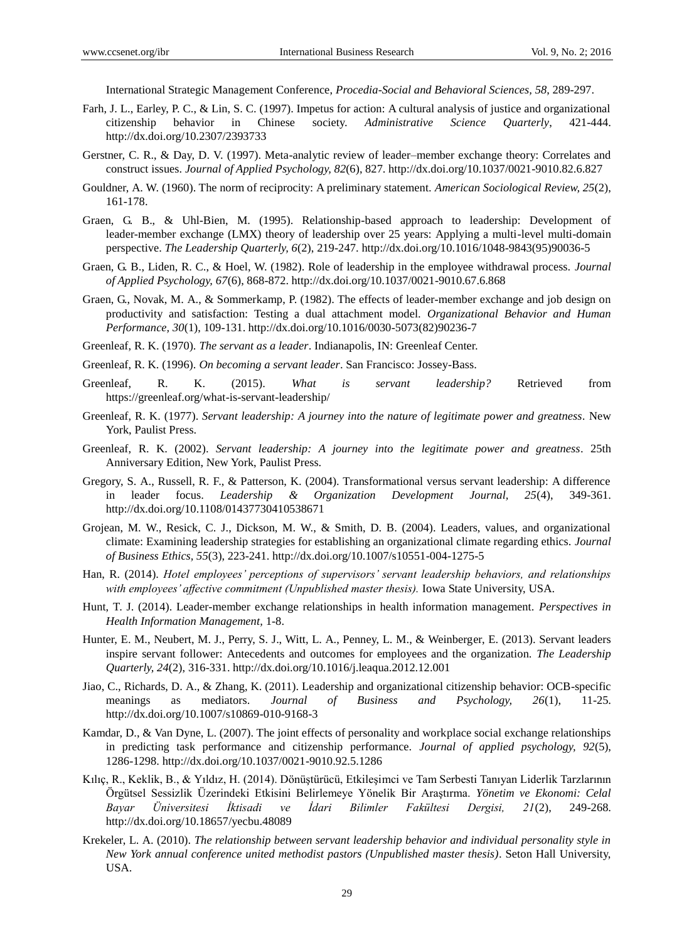International Strategic Management Conference, *Procedia-Social and Behavioral Sciences, 58*, 289-297.

- Farh, J. L., Earley, P. C., & Lin, S. C. (1997). Impetus for action: A cultural analysis of justice and organizational citizenship behavior in Chinese society. *Administrative Science Quarterly*, 421-444. http://dx.doi.org/10.2307/2393733
- Gerstner, C. R., & Day, D. V. (1997). Meta-analytic review of leader–member exchange theory: Correlates and construct issues. *Journal of Applied Psychology, 82*(6), 827[. http://dx.doi.org/10.1037/0021-9010.82.6.827](http://dx.doi.org/10.1037/0021-9010.82.6.827)
- Gouldner, A. W. (1960). The norm of reciprocity: A preliminary statement. *American Sociological Review, 25*(2), 161-178.
- Graen, G. B., & Uhl-Bien, M. (1995). Relationship-based approach to leadership: Development of leader-member exchange (LMX) theory of leadership over 25 years: Applying a multi-level multi-domain perspective. *The Leadership Quarterly, 6*(2), 219-247. http://dx.doi.org/10.1016/1048-9843(95)90036-5
- Graen, G. B., Liden, R. C., & Hoel, W. (1982). Role of leadership in the employee withdrawal process. *Journal of Applied Psychology, 67*(6), 868-872. http://dx.doi.org/10.1037/0021-9010.67.6.868
- Graen, G., Novak, M. A., & Sommerkamp, P. (1982). The effects of leader-member exchange and job design on productivity and satisfaction: Testing a dual attachment model. *Organizational Behavior and Human Performance, 30*(1), 109-131. http://dx.doi.org/10.1016/0030-5073(82)90236-7
- Greenleaf, R. K. (1970). *The servant as a leader*. Indianapolis, IN: Greenleaf Center.
- Greenleaf, R. K. (1996). *On becoming a servant leader*. San Francisco: Jossey-Bass.
- Greenleaf, R. K. (2015). *What is servant leadership?* Retrieved from https://greenleaf.org/what-is-servant-leadership/
- Greenleaf, R. K. (1977). *Servant leadership: A journey into the nature of legitimate power and greatness.* New York, Paulist Press.
- Greenleaf, R. K. (2002). *Servant leadership: A journey into the legitimate power and greatness*. 25th Anniversary Edition, New York, Paulist Press.
- Gregory, S. A., Russell, R. F., & Patterson, K. (2004). Transformational versus servant leadership: A difference in leader focus. *Leadership & Organization Development Journal, 25*(4), 349-361. http://dx.doi.org/10.1108/01437730410538671
- Grojean, M. W., Resick, C. J., Dickson, M. W., & Smith, D. B. (2004). Leaders, values, and organizational climate: Examining leadership strategies for establishing an organizational climate regarding ethics. *Journal of Business Ethics, 55*(3), 223-241. http://dx.doi.org/10.1007/s10551-004-1275-5
- Han, R. (2014). *Hotel employees' perceptions of supervisors' servant leadership behaviors, and relationships with employees' affective commitment (Unpublished master thesis).* Iowa State University, USA.
- Hunt, T. J. (2014). Leader-member exchange relationships in health information management. *Perspectives in Health Information Management,* 1-8.
- Hunter, E. M., Neubert, M. J., Perry, S. J., Witt, L. A., Penney, L. M., & Weinberger, E. (2013). Servant leaders inspire servant follower: Antecedents and outcomes for employees and the organization. *The Leadership Quarterly, 24*(2), 316-331. http://dx.doi.org/10.1016/j.leaqua.2012.12.001
- Jiao, C., Richards, D. A., & Zhang, K. (2011). Leadership and organizational citizenship behavior: OCB-specific meanings as mediators. *Journal of Business and Psychology, 26*(1), 11-25. http://dx.doi.org/10.1007/s10869-010-9168-3
- Kamdar, D., & Van Dyne, L. (2007). The joint effects of personality and workplace social exchange relationships in predicting task performance and citizenship performance. *Journal of applied psychology, 92*(5), 1286-1298. http://dx.doi.org/10.1037/0021-9010.92.5.1286
- Kılıç, R., Keklik, B., & Yıldız, H. (2014). Dönüştürücü, Etkileşimci ve Tam Serbesti Tanıyan Liderlik Tarzlarının Örgütsel Sessizlik Üzerindeki Etkisini Belirlemeye Yönelik Bir Araştırma. *Yönetim ve Ekonomi: Celal Bayar Üniversitesi İktisadi ve İdari Bilimler Fakültesi Dergisi, 21*(2), 249-268. http://dx.doi.org/10.18657/yecbu.48089
- Krekeler, L. A. (2010). *The relationship between servant leadership behavior and individual personality style in New York annual conference united methodist pastors (Unpublished master thesis)*. Seton Hall University, USA.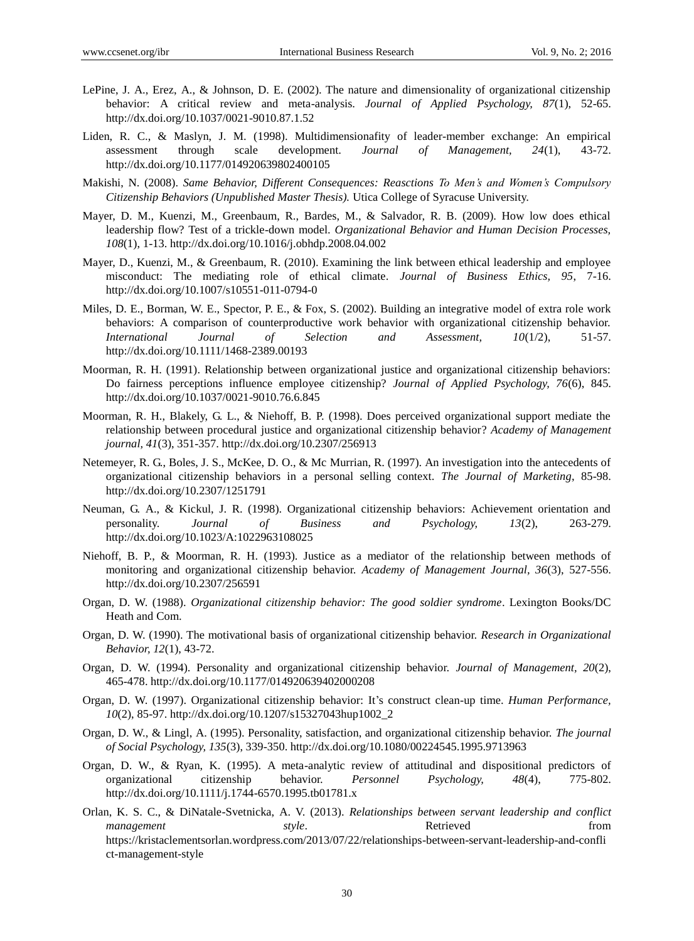- LePine, J. A., Erez, A., & Johnson, D. E. (2002). The nature and dimensionality of organizational citizenship behavior: A critical review and meta-analysis. *Journal of Applied Psychology, 87*(1), 52-65. http://dx.doi.org/10.1037/0021-9010.87.1.52
- Liden, R. C., & Maslyn, J. M. (1998). Multidimensionafity of leader-member exchange: An empirical assessment through scale development. *Journal of Management, 24*(1), 43-72. http://dx.doi.org/10.1177/014920639802400105
- Makishi, N. (2008). *Same Behavior, Different Consequences: Reasctions To Men's and Women's Compulsory Citizenship Behaviors (Unpublished Master Thesis).* Utica College of Syracuse University.
- Mayer, D. M., Kuenzi, M., Greenbaum, R., Bardes, M., & Salvador, R. B. (2009). How low does ethical leadership flow? Test of a trickle-down model. *Organizational Behavior and Human Decision Processes, 108*(1), 1-13. [http://dx.doi.org/10.1016/j.obhdp.2008.04.002](http://dx.doi:10.1016/j.obhdp.2008.04.002)
- Mayer, D., Kuenzi, M., & Greenbaum, R. (2010). Examining the link between ethical leadership and employee misconduct: The mediating role of ethical climate. *Journal of Business Ethics, 95*, 7-16. http://dx.doi.org/10.1007/s10551-011-0794-0
- Miles, D. E., Borman, W. E., Spector, P. E., & Fox, S. (2002). Building an integrative model of extra role work behaviors: A comparison of counterproductive work behavior with organizational citizenship behavior. *International Journal of Selection and Assessment, 10*(1/2), 51-57. http://dx.doi.org/10.1111/1468-2389.00193
- Moorman, R. H. (1991). Relationship between organizational justice and organizational citizenship behaviors: Do fairness perceptions influence employee citizenship? *Journal of Applied Psychology, 76*(6), 845. http://dx.doi.org/10.1037/0021-9010.76.6.845
- Moorman, R. H., Blakely, G. L., & Niehoff, B. P. (1998). Does perceived organizational support mediate the relationship between procedural justice and organizational citizenship behavior? *Academy of Management journal, 41*(3), 351-357. http://dx.doi.org/10.2307/256913
- Netemeyer, R. G., Boles, J. S., McKee, D. O., & Mc Murrian, R. (1997). An investigation into the antecedents of organizational citizenship behaviors in a personal selling context. *The Journal of Marketing*, 85-98. http://dx.doi.org/10.2307/1251791
- Neuman, G. A., & Kickul, J. R. (1998). Organizational citizenship behaviors: Achievement orientation and personality. *Journal of Business and Psychology, 13*(2), 263-279. http://dx.doi.org/10.1023/A:1022963108025
- Niehoff, B. P., & Moorman, R. H. (1993). Justice as a mediator of the relationship between methods of monitoring and organizational citizenship behavior. *Academy of Management Journal, 36*(3), 527-556. http://dx.doi.org/10.2307/256591
- Organ, D. W. (1988). *Organizational citizenship behavior: The good soldier syndrome*. Lexington Books/DC Heath and Com.
- Organ, D. W. (1990). The motivational basis of organizational citizenship behavior. *Research in Organizational Behavior, 12*(1), 43-72.
- Organ, D. W. (1994). Personality and organizational citizenship behavior. *Journal of Management, 20*(2), 465-478. http://dx.doi.org/10.1177/014920639402000208
- Organ, D. W. (1997). Organizational citizenship behavior: It's construct clean-up time. *Human Performance, 10*(2), 85-97. http://dx.doi.org/10.1207/s15327043hup1002\_2
- Organ, D. W., & Lingl, A. (1995). Personality, satisfaction, and organizational citizenship behavior. *The journal of Social Psychology, 135*(3), 339-350. http://dx.doi.org/10.1080/00224545.1995.9713963
- Organ, D. W., & Ryan, K. (1995). A meta-analytic review of attitudinal and dispositional predictors of organizational citizenship behavior. *Personnel Psychology, 48*(4), 775-802. http://dx.doi.org/10.1111/j.1744-6570.1995.tb01781.x
- Orlan, K. S. C., & DiNatale-Svetnicka, A. V. (2013). *Relationships between servant leadership and conflict management* **style.** Style. Retrieved **from** [https://kristaclementsorlan.wordpress.com/2013/07/22/relationships-between-servant-leadership-and-confli](https://kristaclementsorlan.wordpress.com/2013/07/22/relationships-between-servant-leadership-and-conflict-management-style) [ct-management-style](https://kristaclementsorlan.wordpress.com/2013/07/22/relationships-between-servant-leadership-and-conflict-management-style)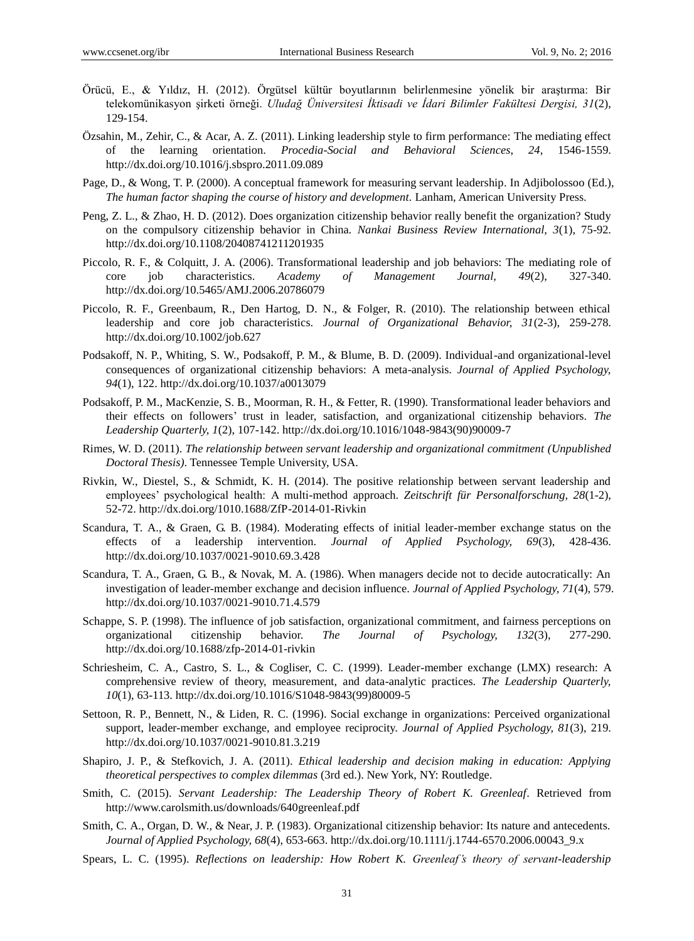- Örücü, E., & Yıldız, H. (2012). Örgütsel kültür boyutlarının belirlenmesine yönelik bir araştırma: Bir telekomünikasyon şirketi örneği. *Uludağ Üniversitesi İktisadi ve İdari Bilimler Fakültesi Dergisi, 31*(2), 129-154.
- Ö zsahin, M., Zehir, C., & Acar, A. Z. (2011). Linking leadership style to firm performance: The mediating effect of the learning orientation. *Procedia-Social and Behavioral Sciences*, *24*, 1546-1559. http://dx.doi.org/10.1016/j.sbspro.2011.09.089
- Page, D., & Wong, T. P. (2000). A conceptual framework for measuring servant leadership. In Adjibolossoo (Ed.), *The human factor shaping the course of history and development.* Lanham, American University Press.
- Peng, Z. L., & Zhao, H. D. (2012). Does organization citizenship behavior really benefit the organization? Study on the compulsory citizenship behavior in China. *Nankai Business Review International, 3*(1), 75-92. http://dx.doi.org/10.1108/20408741211201935
- Piccolo, R. F., & Colquitt, J. A. (2006). Transformational leadership and job behaviors: The mediating role of core job characteristics. *Academy of Management Journal, 49*(2), 327-340. http://dx.doi.org/10.5465/AMJ.2006.20786079
- Piccolo, R. F., Greenbaum, R., Den Hartog, D. N., & Folger, R. (2010). The relationship between ethical leadership and core job characteristics. *Journal of Organizational Behavior, 31*(2-3), 259-278. http://dx.doi.org/10.1002/job.627
- Podsakoff, N. P., Whiting, S. W., Podsakoff, P. M., & Blume, B. D. (2009). Individual-and organizational-level consequences of organizational citizenship behaviors: A meta-analysis. *Journal of Applied Psychology, 94*(1), 122. http://dx.doi.org/10.1037/a0013079
- Podsakoff, P. M., MacKenzie, S. B., Moorman, R. H., & Fetter, R. (1990). Transformational leader behaviors and their effects on followers' trust in leader, satisfaction, and organizational citizenship behaviors. *The Leadership Quarterly, 1*(2), 107-142. http://dx.doi.org/10.1016/1048-9843(90)90009-7
- Rimes, W. D. (2011). *The relationship between servant leadership and organizational commitment (Unpublished Doctoral Thesis)*. Tennessee Temple University, USA.
- Rivkin, W., Diestel, S., & Schmidt, K. H. (2014). The positive relationship between servant leadership and employees' psychological health: A multi-method approach. *Zeitschrift für Personalforschung, 28*(1-2), 52-72. http://dx.doi.org/1010.1688/ZfP-2014-01-Rivkin
- Scandura, T. A., & Graen, G. B. (1984). Moderating effects of initial leader-member exchange status on the effects of a leadership intervention. *Journal of Applied Psychology, 69*(3), 428-436. <http://dx.doi.org/10.1037/0021-9010.69.3.428>
- Scandura, T. A., Graen, G. B., & Novak, M. A. (1986). When managers decide not to decide autocratically: An investigation of leader-member exchange and decision influence. *Journal of Applied Psychology, 71*(4), 579. <http://dx.doi.org/10.1037/0021-9010.71.4.579>
- Schappe, S. P. (1998). The influence of job satisfaction, organizational commitment, and fairness perceptions on organizational citizenship behavior. *The Journal of Psychology, 132*(3), 277-290. http://dx.doi.org/10.1688/zfp-2014-01-rivkin
- Schriesheim, C. A., Castro, S. L., & Cogliser, C. C. (1999). Leader-member exchange (LMX) research: A comprehensive review of theory, measurement, and data-analytic practices. *The Leadership Quarterly, 10*(1), 63-113[. http://dx.doi.org/10.1016/S1048-9843\(99\)80009-5](http://dx.doi:10.1016/S1048-9843(99)80009-5)
- Settoon, R. P., Bennett, N., & Liden, R. C. (1996). Social exchange in organizations: Perceived organizational support, leader-member exchange, and employee reciprocity. *Journal of Applied Psychology, 81*(3), 219. <http://dx.doi.org/10.1037/0021-9010.81.3.219>
- Shapiro, J. P., & Stefkovich, J. A. (2011). *Ethical leadership and decision making in education: Applying theoretical perspectives to complex dilemmas* (3rd ed.). New York, NY: Routledge.
- Smith, C. (2015). *Servant Leadership: The Leadership Theory of Robert K. Greenleaf*. Retrieved from http://www.carolsmith.us/downloads/640greenleaf.pdf
- Smith, C. A., Organ, D. W., & Near, J. P. (1983). Organizational citizenship behavior: Its nature and antecedents. *Journal of Applied Psychology, 68*(4), 653-663. http://dx.doi.org/10.1111/j.1744-6570.2006.00043\_9.x
- Spears, L. C. (1995). *Reflections on leadership: How Robert K. Greenleaf's theory of servant-leadership*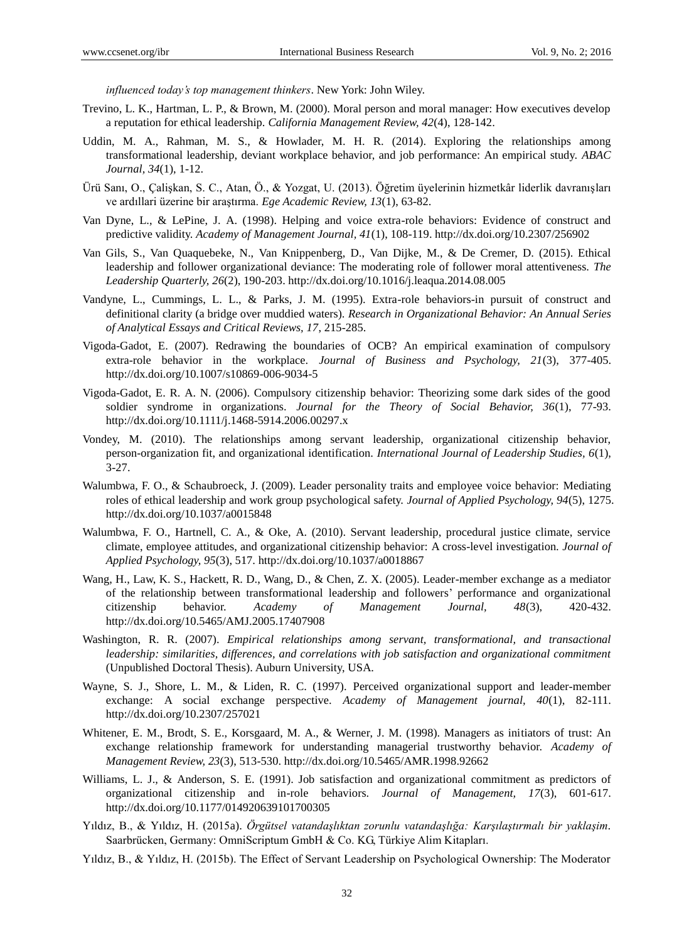*influenced today's top management thinkers*. New York: John Wiley.

- Trevino, L. K., Hartman, L. P., & Brown, M. (2000). Moral person and moral manager: How executives develop a reputation for ethical leadership. *California Management Review, 42*(4), 128-142.
- Uddin, M. A., Rahman, M. S., & Howlader, M. H. R. (2014). Exploring the relationships among transformational leadership, deviant workplace behavior, and job performance: An empirical study. *ABAC Journal, 34*(1), 1-12.
- Ürü Sanı, O., Çalişkan, S. C., Atan, Ö., & Yozgat, U. (2013). Öğretim üyelerinin hizmetkâr liderlik davranışları ve ardıllari üzerine bir araştırma. *Ege Academic Review, 13*(1), 63-82.
- Van Dyne, L., & LePine, J. A. (1998). Helping and voice extra-role behaviors: Evidence of construct and predictive validity. *Academy of Management Journal, 41*(1), 108-119. http://dx.doi.org/10.2307/256902
- Van Gils, S., Van Quaquebeke, N., Van Knippenberg, D., Van Dijke, M., & De Cremer, D. (2015). Ethical leadership and follower organizational deviance: The moderating role of follower moral attentiveness. *The Leadership Quarterly, 26*(2), 190-203. http://dx.doi.org/10.1016/j.leaqua.2014.08.005
- Vandyne, L., Cummings, L. L., & Parks, J. M. (1995). Extra-role behaviors-in pursuit of construct and definitional clarity (a bridge over muddied waters). *Research in Organizational Behavior: An Annual Series of Analytical Essays and Critical Reviews, 17*, 215-285.
- Vigoda-Gadot, E. (2007). Redrawing the boundaries of OCB? An empirical examination of compulsory extra-role behavior in the workplace. *Journal of Business and Psychology, 21*(3), 377-405. http://dx.doi.org/10.1007/s10869-006-9034-5
- Vigoda-Gadot, E. R. A. N. (2006). Compulsory citizenship behavior: Theorizing some dark sides of the good soldier syndrome in organizations. *Journal for the Theory of Social Behavior, 36*(1), 77-93. http://dx.doi.org/10.1111/j.1468-5914.2006.00297.x
- Vondey, M. (2010). The relationships among servant leadership, organizational citizenship behavior, person-organization fit, and organizational identification. *International Journal of Leadership Studies, 6*(1), 3-27.
- Walumbwa, F. O., & Schaubroeck, J. (2009). Leader personality traits and employee voice behavior: Mediating roles of ethical leadership and work group psychological safety. *Journal of Applied Psychology, 94*(5), 1275. <http://dx.doi.org/10.1037/a0015848>
- Walumbwa, F. O., Hartnell, C. A., & Oke, A. (2010). Servant leadership, procedural justice climate, service climate, employee attitudes, and organizational citizenship behavior: A cross-level investigation. *Journal of Applied Psychology, 95*(3), 517. http://dx.doi.org/10.1037/a0018867
- Wang, H., Law, K. S., Hackett, R. D., Wang, D., & Chen, Z. X. (2005). Leader-member exchange as a mediator of the relationship between transformational leadership and followers' performance and organizational citizenship behavior. *Academy of Management Journal, 48*(3), 420-432. http://dx.doi.org/10.5465/AMJ.2005.17407908
- Washington, R. R. (2007). *Empirical relationships among servant, transformational, and transactional leadership: similarities, differences, and correlations with job satisfaction and organizational commitment* (Unpublished Doctoral Thesis). Auburn University, USA.
- Wayne, S. J., Shore, L. M., & Liden, R. C. (1997). Perceived organizational support and leader-member exchange: A social exchange perspective. *Academy of Management journal, 40*(1), 82-111. http://dx.doi.org/10.2307/257021
- Whitener, E. M., Brodt, S. E., Korsgaard, M. A., & Werner, J. M. (1998). Managers as initiators of trust: An exchange relationship framework for understanding managerial trustworthy behavior. *Academy of Management Review, 23*(3), 513-530. http://dx.doi.org/10.5465/AMR.1998.92662
- Williams, L. J., & Anderson, S. E. (1991). Job satisfaction and organizational commitment as predictors of organizational citizenship and in-role behaviors. *Journal of Management, 17*(3), 601-617. http://dx.doi.org/10.1177/014920639101700305
- Yıldız, B., & Yıldız, H. (2015a). *Örgütsel vatandaşlıktan zorunlu vatandaşlığa: Karşılaştırmalı bir yaklaşim.* Saarbrücken, Germany: OmniScriptum GmbH & Co. KG, Türkiye Alim Kitapları.
- Yıldız, B., & Yıldız, H. (2015b). The Effect of Servant Leadership on Psychological Ownership: The Moderator